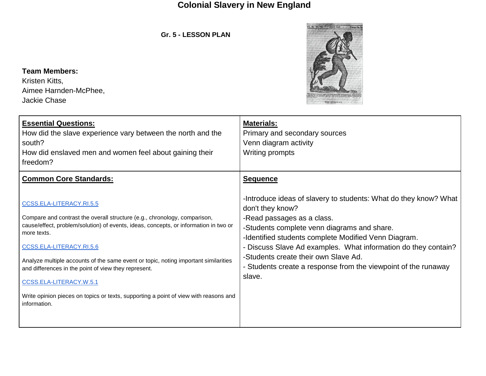**Gr. 5 - LESSON PLAN**



**Team Members:**  Kristen Kitts, Aimee Harnden-McPhee, Jackie Chase

| <b>Essential Questions:</b><br>How did the slave experience vary between the north and the<br>south?<br>How did enslaved men and women feel about gaining their<br>freedom?                                                                                                                                                                                                                                                                                                                                                                                 | <b>Materials:</b><br>Primary and secondary sources<br>Venn diagram activity<br>Writing prompts                                                                                                                                                                                                                                                                                                                                     |
|-------------------------------------------------------------------------------------------------------------------------------------------------------------------------------------------------------------------------------------------------------------------------------------------------------------------------------------------------------------------------------------------------------------------------------------------------------------------------------------------------------------------------------------------------------------|------------------------------------------------------------------------------------------------------------------------------------------------------------------------------------------------------------------------------------------------------------------------------------------------------------------------------------------------------------------------------------------------------------------------------------|
| <b>Common Core Standards:</b><br>CCSS.ELA-LITERACY.RI.5.5<br>Compare and contrast the overall structure (e.g., chronology, comparison,<br>cause/effect, problem/solution) of events, ideas, concepts, or information in two or<br>more texts.<br>CCSS.ELA-LITERACY.RI.5.6<br>Analyze multiple accounts of the same event or topic, noting important similarities<br>and differences in the point of view they represent.<br>CCSS.ELA-LITERACY.W.5.1<br>Write opinion pieces on topics or texts, supporting a point of view with reasons and<br>information. | <b>Sequence</b><br>-Introduce ideas of slavery to students: What do they know? What<br>don't they know?<br>-Read passages as a class.<br>-Students complete venn diagrams and share.<br>-Identified students complete Modified Venn Diagram.<br>- Discuss Slave Ad examples. What information do they contain?<br>-Students create their own Slave Ad.<br>- Students create a response from the viewpoint of the runaway<br>slave. |
|                                                                                                                                                                                                                                                                                                                                                                                                                                                                                                                                                             |                                                                                                                                                                                                                                                                                                                                                                                                                                    |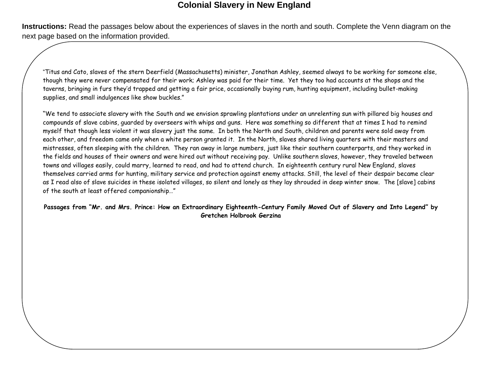**Instructions:** Read the passages below about the experiences of slaves in the north and south. Complete the Venn diagram on the next page based on the information provided.

"Titus and Cato, slaves of the stern Deerfield (Massachusetts) minister, Jonathan Ashley, seemed always to be working for someone else, though they were never compensated for their work; Ashley was paid for their time. Yet they too had accounts at the shops and the taverns, bringing in furs they'd trapped and getting a fair price, occasionally buying rum, hunting equipment, including bullet-making supplies, and small indulgences like show buckles."

"We tend to associate slavery with the South and we envision sprawling plantations under an unrelenting sun with pillared big houses and compounds of slave cabins, guarded by overseers with whips and guns. Here was something so different that at times I had to remind myself that though less violent it was slavery just the same. In both the North and South, children and parents were sold away from each other, and freedom came only when a white person granted it. In the North, slaves shared living quarters with their masters and mistresses, often sleeping with the children. They ran away in large numbers, just like their southern counterparts, and they worked in the fields and houses of their owners and were hired out without receiving pay. Unlike southern slaves, however, they traveled between towns and villages easily, could marry, learned to read, and had to attend church. In eighteenth century rural New England, slaves themselves carried arms for hunting, military service and protection against enemy attacks. Still, the level of their despair became clear as I read also of slave suicides in these isolated villages, so silent and lonely as they lay shrouded in deep winter snow. The [slave] cabins of the south at least offered companionship…"

**Passages from "Mr. and Mrs. Prince: How an Extraordinary Eighteenth-Century Family Moved Out of Slavery and Into Legend" by Gretchen Holbrook Gerzina**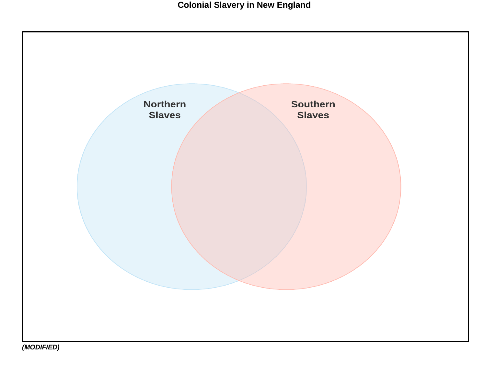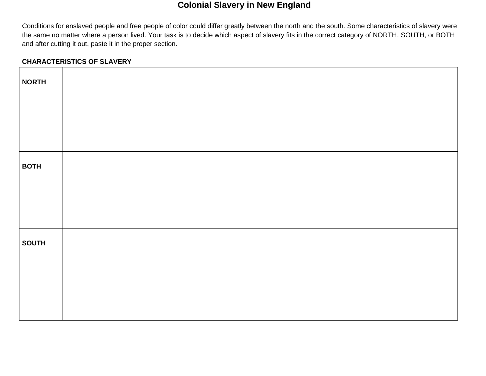Conditions for enslaved people and free people of color could differ greatly between the north and the south. Some characteristics of slavery were the same no matter where a person lived. Your task is to decide which aspect of slavery fits in the correct category of NORTH, SOUTH, or BOTH and after cutting it out, paste it in the proper section.

### **CHARACTERISTICS OF SLAVERY**

| <b>NORTH</b> |  |  |
|--------------|--|--|
|              |  |  |
|              |  |  |
| <b>BOTH</b>  |  |  |
|              |  |  |
|              |  |  |
| <b>SOUTH</b> |  |  |
|              |  |  |
|              |  |  |
|              |  |  |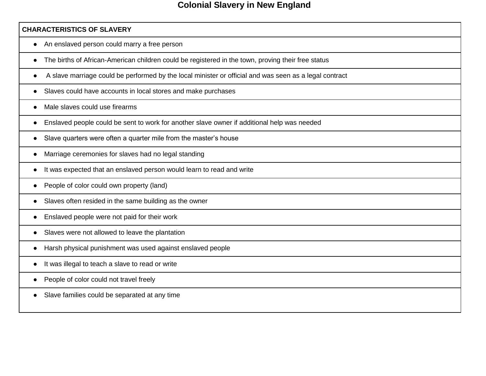#### **CHARACTERISTICS OF SLAVERY**

- An enslaved person could marry a free person
- The births of African-American children could be registered in the town, proving their free status
- A slave marriage could be performed by the local minister or official and was seen as a legal contract
- Slaves could have accounts in local stores and make purchases
- Male slaves could use firearms
- Enslaved people could be sent to work for another slave owner if additional help was needed
- Slave quarters were often a quarter mile from the master's house
- Marriage ceremonies for slaves had no legal standing
- It was expected that an enslaved person would learn to read and write
- People of color could own property (land)
- Slaves often resided in the same building as the owner
- Enslaved people were not paid for their work
- Slaves were not allowed to leave the plantation
- Harsh physical punishment was used against enslaved people
- It was illegal to teach a slave to read or write
- People of color could not travel freely
- Slave families could be separated at any time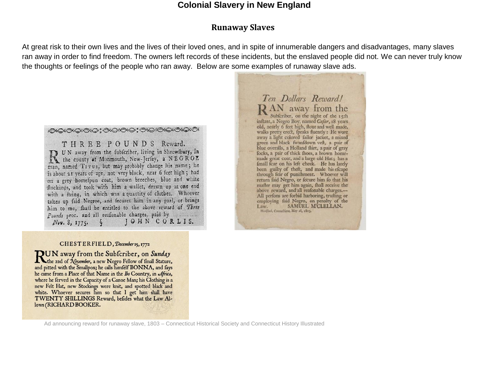#### **Runaway Slaves**

At great risk to their own lives and the lives of their loved ones, and in spite of innumerable dangers and disadvantages, many slaves ran away in order to find freedom. The owners left records of these incidents, but the enslaved people did not. We can never truly know the thoughts or feelings of the people who ran away. Below are some examples of runaway slave ads.

»©^©^©^©^;@^©^©^;©^©^©^©^©^©^©^ THREE POUNDS Reward. UN away from the fubfcriber, living in Shrewfbury, in<br>the county of Monmouth, New-Jerfey, a NEGROE man, named Tirus, but may probably change his name; he is about 21 years of age, not very black, near 6 feet high; had on a grey homefpun coat, brown breeches, blue and white flockings, and took with him a wallet, drawn up at one end with a ftring, in which was a quantity of clothes. Whoever takes up faid Negroe, and fecures him in any goal, or brings him to me, fhall be entitled to the above reward of Three Pounds proc. and all reafonable charges, paid by JOHN CORLIS. Nov. 8, 1775.

RAN away from the inftant, a Negro Boy, named Cæfar, 18 years old, nearly 6 feet high, flout and well made, walks pretty erect, fpeaks fluently: He wore<br>away a light colored failor jacket, a mixed green and black fwanfdown veft, a pair of blue overalls, a Holland fhirt, a pair of gray focks, a pair of thick fhoes, a brown homemade great coat, and a large old Hat; has a fmall fcar on his left cheek. He has lately been guilty of theft, and made his efcape through fear of punifhment. Whoever will return faid Negro, or fecure him fo that his mafter may get him again, fhall receive the above reward, and all reafonable charges.---All perfons are forbid harboring, trufting or employing faid Negro, on penalty of the SAMUEL MCLELLAN. Law. Wood/lock, Connecticut, May 16, 1803.

Ten Dollars Reward!

#### CHESTERFIELD, December 15, 1772

**DUN** away from the Subfcriber, on Sunday The 22d of November, a new Negro Fellow of fmall Stature, and pitted with the Smallpox; he calls himfelf BONNA, and fays he came from a Place of that Name in the Ibo Country, in Africa, where he ferved in the Capacity of a Canoe Man; his Clothing is a new Felt Hat, new Stockings were knit, and spotted black and white. Whoever secures him so that I get him shall have TWENTY SHILLINGS Reward, befides what the Law Allows (RICHARD BOOKER.

Ad announcing reward for runaway slave, 1803 – Connecticut Historical Society and Connecticut History Illustrated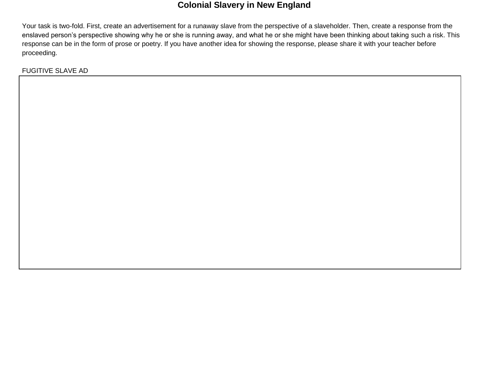Your task is two-fold. First, create an advertisement for a runaway slave from the perspective of a slaveholder. Then, create a response from the enslaved person's perspective showing why he or she is running away, and what he or she might have been thinking about taking such a risk. This response can be in the form of prose or poetry. If you have another idea for showing the response, please share it with your teacher before proceeding.

FUGITIVE SLAVE AD